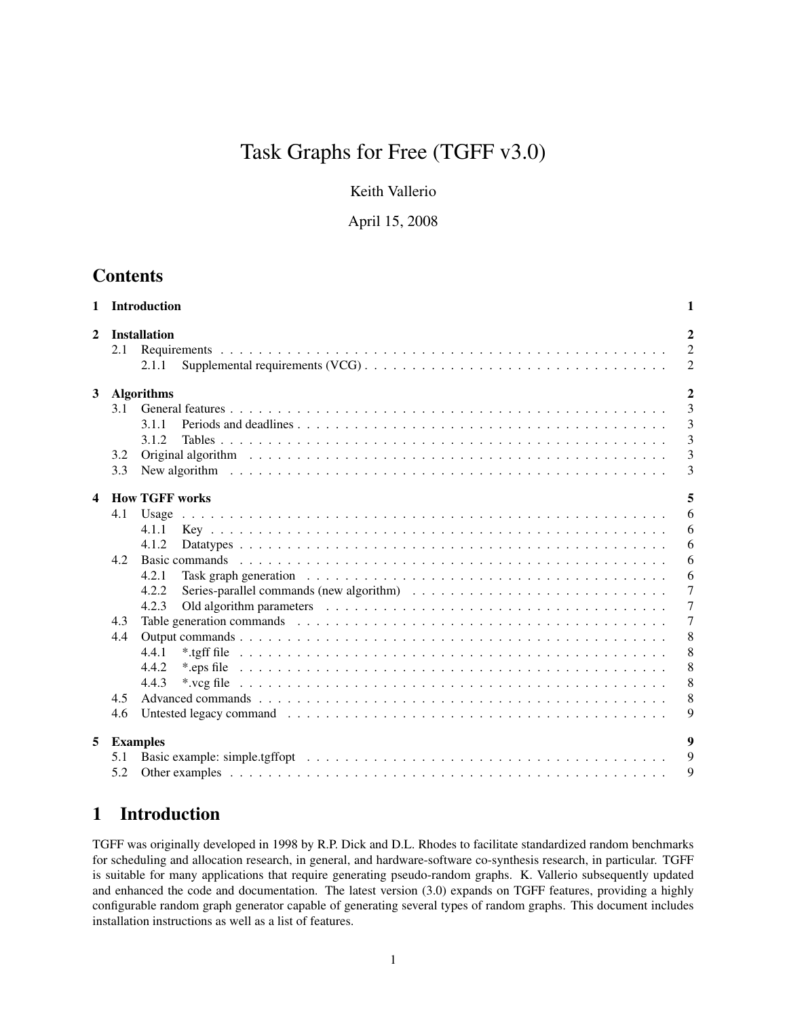# Task Graphs for Free (TGFF v3.0)

Keith Vallerio

April 15, 2008

## **Contents**

| $\mathbf{1}$            |                                        | Introduction                                                                                                                                                                                                                                                          | 1                                                                                    |
|-------------------------|----------------------------------------|-----------------------------------------------------------------------------------------------------------------------------------------------------------------------------------------------------------------------------------------------------------------------|--------------------------------------------------------------------------------------|
| $\mathbf{2}$            | 2.1                                    | <b>Installation</b><br>2.1.1                                                                                                                                                                                                                                          | $\mathbf{2}$<br>$\overline{2}$<br>$\overline{c}$                                     |
| $\mathbf{3}$            | 3.1<br>3.2                             | <b>Algorithms</b><br>3.1.1<br>3.1.2<br>Original algorithm (and all contact and all contact and all contact and all contact and all contact and all contact and all contact all contact and all contact and all contact and all contact and all contact and all contac | $\overline{2}$<br>3<br>3<br>$\overline{3}$<br>3                                      |
| $\overline{\mathbf{4}}$ | 3.3                                    |                                                                                                                                                                                                                                                                       | 3                                                                                    |
|                         | 4.1<br>4.2<br>4.3<br>4.4<br>4.5<br>4.6 | <b>How TGFF works</b><br>Usage<br>4.1.1<br>4.1.2<br>4.2.1<br>4.2.2<br>4.2.3<br>4.4.1<br>4.4.2<br>4.4.3                                                                                                                                                                | 5<br>6<br>6<br>6<br>6<br>6<br>$\overline{7}$<br>7<br>7<br>8<br>8<br>8<br>8<br>8<br>9 |
| 5                       | 5.1<br>5.2                             | <b>Examples</b>                                                                                                                                                                                                                                                       | $\boldsymbol{Q}$<br>9<br>9                                                           |

## 1 Introduction

TGFF was originally developed in 1998 by R.P. Dick and D.L. Rhodes to facilitate standardized random benchmarks for scheduling and allocation research, in general, and hardware-software co-synthesis research, in particular. TGFF is suitable for many applications that require generating pseudo-random graphs. K. Vallerio subsequently updated and enhanced the code and documentation. The latest version (3.0) expands on TGFF features, providing a highly configurable random graph generator capable of generating several types of random graphs. This document includes installation instructions as well as a list of features.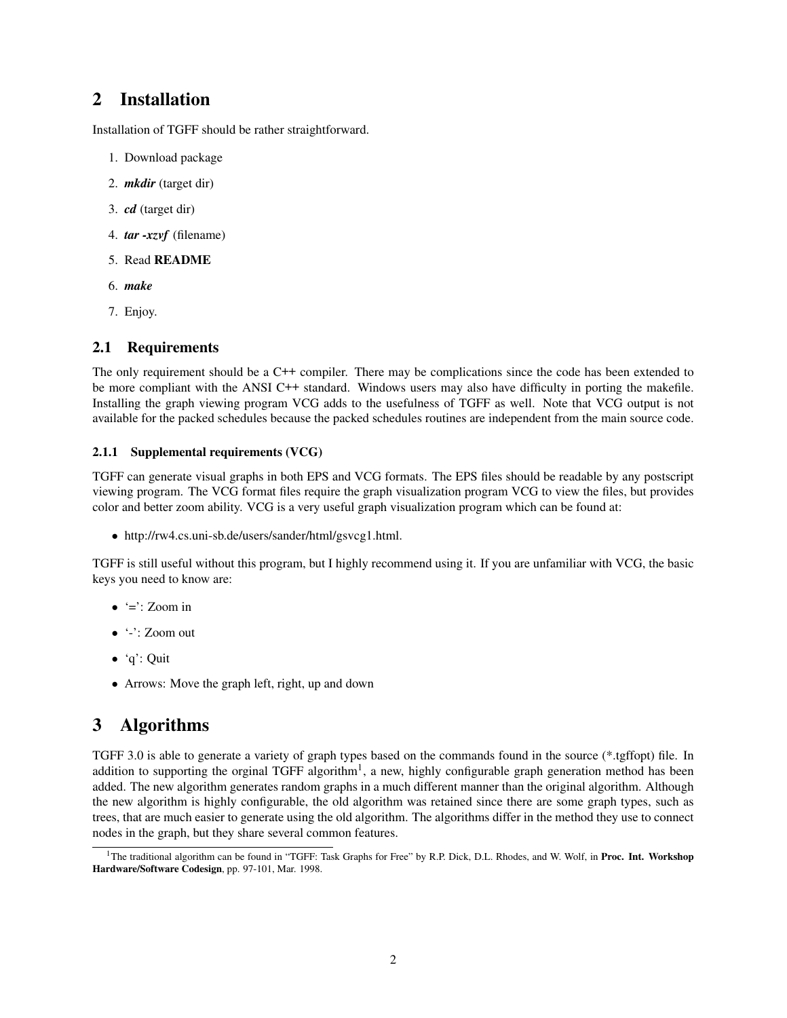## 2 Installation

Installation of TGFF should be rather straightforward.

- 1. Download package
- 2. *mkdir* (target dir)
- 3. *cd* (target dir)
- 4. *tar -xzvf* (filename)
- 5. Read README
- 6. *make*
- 7. Enjoy.

### 2.1 Requirements

The only requirement should be a C<sup>++</sup> compiler. There may be complications since the code has been extended to be more compliant with the ANSI C++ standard. Windows users may also have difficulty in porting the makefile. Installing the graph viewing program VCG adds to the usefulness of TGFF as well. Note that VCG output is not available for the packed schedules because the packed schedules routines are independent from the main source code.

#### 2.1.1 Supplemental requirements (VCG)

TGFF can generate visual graphs in both EPS and VCG formats. The EPS files should be readable by any postscript viewing program. The VCG format files require the graph visualization program VCG to view the files, but provides color and better zoom ability. VCG is a very useful graph visualization program which can be found at:

• http://rw4.cs.uni-sb.de/users/sander/html/gsvcg1.html.

TGFF is still useful without this program, but I highly recommend using it. If you are unfamiliar with VCG, the basic keys you need to know are:

- $\bullet$  '=': Zoom in
- '-': Zoom out
- 'q': Quit
- Arrows: Move the graph left, right, up and down

## 3 Algorithms

TGFF 3.0 is able to generate a variety of graph types based on the commands found in the source (\*.tgffopt) file. In addition to supporting the orginal TGFF algorithm<sup>1</sup>, a new, highly configurable graph generation method has been added. The new algorithm generates random graphs in a much different manner than the original algorithm. Although the new algorithm is highly configurable, the old algorithm was retained since there are some graph types, such as trees, that are much easier to generate using the old algorithm. The algorithms differ in the method they use to connect nodes in the graph, but they share several common features.

<sup>&</sup>lt;sup>1</sup>The traditional algorithm can be found in "TGFF: Task Graphs for Free" by R.P. Dick, D.L. Rhodes, and W. Wolf, in Proc. Int. Workshop Hardware/Software Codesign, pp. 97-101, Mar. 1998.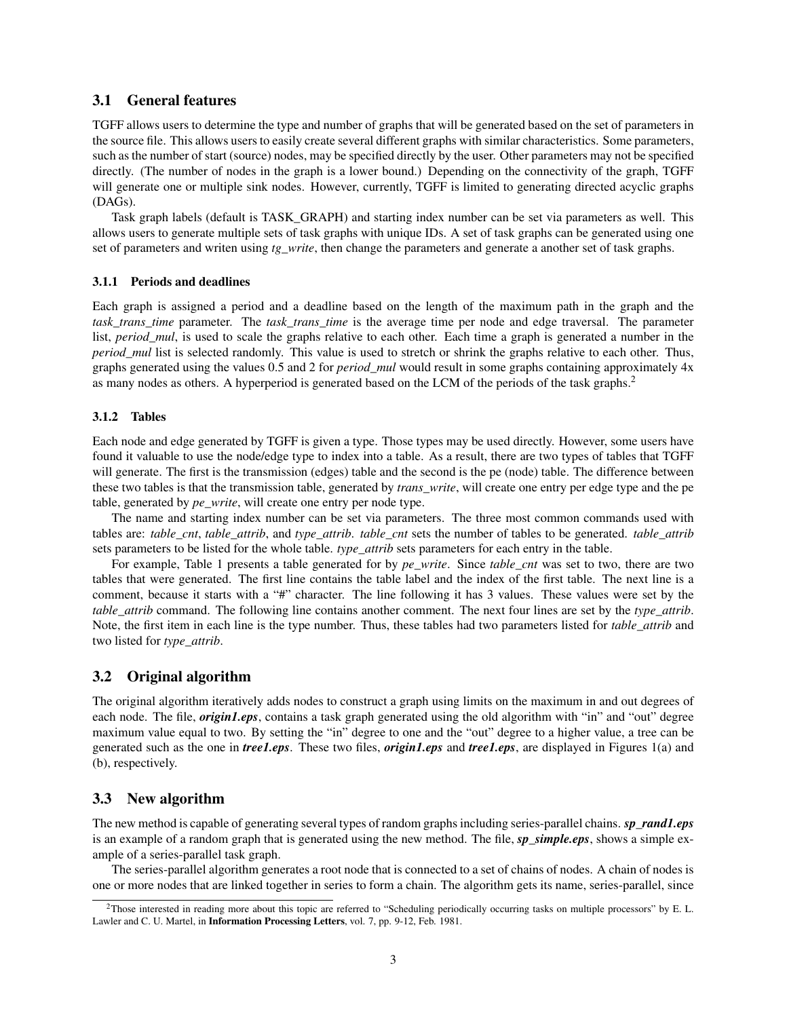#### 3.1 General features

TGFF allows users to determine the type and number of graphs that will be generated based on the set of parameters in the source file. This allows users to easily create several different graphs with similar characteristics. Some parameters, such as the number of start (source) nodes, may be specified directly by the user. Other parameters may not be specified directly. (The number of nodes in the graph is a lower bound.) Depending on the connectivity of the graph, TGFF will generate one or multiple sink nodes. However, currently, TGFF is limited to generating directed acyclic graphs (DAGs).

Task graph labels (default is TASK\_GRAPH) and starting index number can be set via parameters as well. This allows users to generate multiple sets of task graphs with unique IDs. A set of task graphs can be generated using one set of parameters and writen using *tg\_write*, then change the parameters and generate a another set of task graphs.

#### 3.1.1 Periods and deadlines

Each graph is assigned a period and a deadline based on the length of the maximum path in the graph and the *task trans time* parameter. The *task trans time* is the average time per node and edge traversal. The parameter list, *period\_mul*, is used to scale the graphs relative to each other. Each time a graph is generated a number in the *period mul* list is selected randomly. This value is used to stretch or shrink the graphs relative to each other. Thus, graphs generated using the values 0.5 and 2 for *period\_mul* would result in some graphs containing approximately 4x as many nodes as others. A hyperperiod is generated based on the LCM of the periods of the task graphs.<sup>2</sup>

#### 3.1.2 Tables

Each node and edge generated by TGFF is given a type. Those types may be used directly. However, some users have found it valuable to use the node/edge type to index into a table. As a result, there are two types of tables that TGFF will generate. The first is the transmission (edges) table and the second is the pe (node) table. The difference between these two tables is that the transmission table, generated by *trans\_write*, will create one entry per edge type and the pe table, generated by *pe\_write*, will create one entry per node type.

The name and starting index number can be set via parameters. The three most common commands used with tables are: *table\_cnt*, *table\_attrib*, and *type\_attrib*. *table\_cnt* sets the number of tables to be generated. *table\_attrib* sets parameters to be listed for the whole table. *type\_attrib* sets parameters for each entry in the table.

For example, Table 1 presents a table generated for by *pe\_write*. Since *table\_cnt* was set to two, there are two tables that were generated. The first line contains the table label and the index of the first table. The next line is a comment, because it starts with a "#" character. The line following it has 3 values. These values were set by the *table\_attrib* command. The following line contains another comment. The next four lines are set by the *type\_attrib*. Note, the first item in each line is the type number. Thus, these tables had two parameters listed for *table\_attrib* and two listed for *type\_attrib*.

#### 3.2 Original algorithm

The original algorithm iteratively adds nodes to construct a graph using limits on the maximum in and out degrees of each node. The file, *origin1.eps*, contains a task graph generated using the old algorithm with "in" and "out" degree maximum value equal to two. By setting the "in" degree to one and the "out" degree to a higher value, a tree can be generated such as the one in *tree1.eps*. These two files, *origin1.eps* and *tree1.eps*, are displayed in Figures 1(a) and (b), respectively.

#### 3.3 New algorithm

The new method is capable of generating several types of random graphs including series-parallel chains. *sp\_rand1.eps* is an example of a random graph that is generated using the new method. The file, *sp\_simple.eps*, shows a simple example of a series-parallel task graph.

The series-parallel algorithm generates a root node that is connected to a set of chains of nodes. A chain of nodes is one or more nodes that are linked together in series to form a chain. The algorithm gets its name, series-parallel, since

<sup>2</sup>Those interested in reading more about this topic are referred to "Scheduling periodically occurring tasks on multiple processors" by E. L. Lawler and C. U. Martel, in Information Processing Letters, vol. 7, pp. 9-12, Feb. 1981.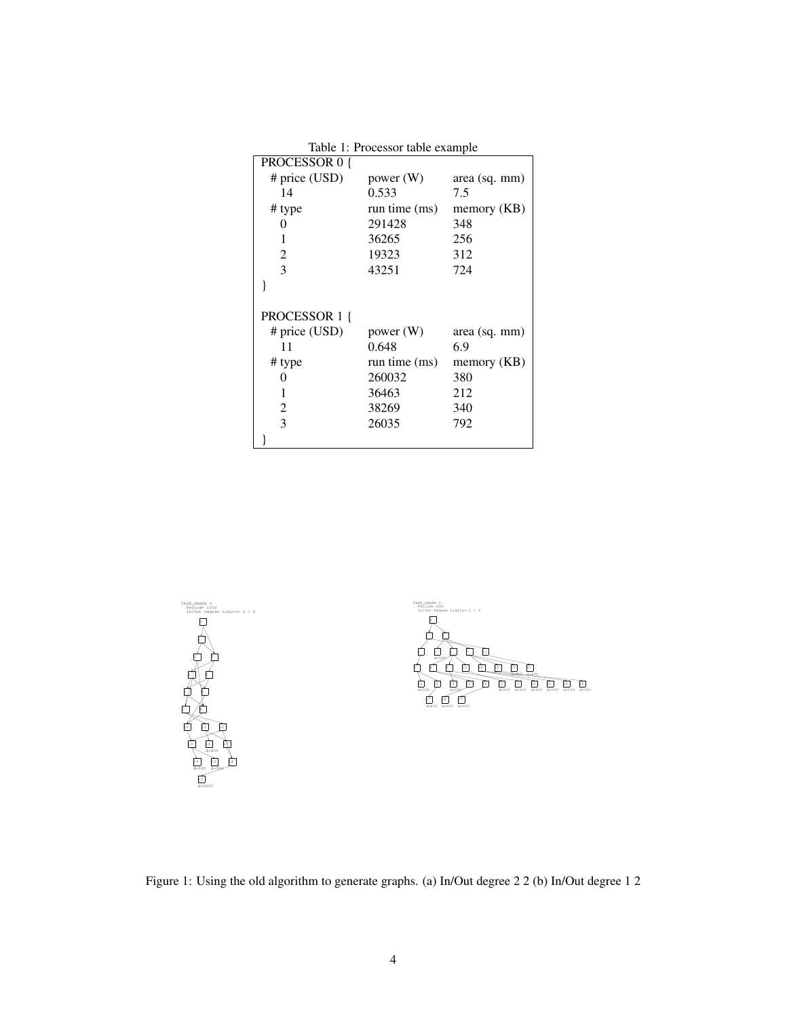| Table 1: Processor table example |                 |               |  |  |  |
|----------------------------------|-----------------|---------------|--|--|--|
| PROCESSOR 0 {                    |                 |               |  |  |  |
| # price $(USD)$                  | power $(W)$     | area (sq. mm) |  |  |  |
| 14                               | 0.533           | 7.5           |  |  |  |
| # type                           | run time (ms)   | memory (KB)   |  |  |  |
| $\Omega$                         | 291428          | 348           |  |  |  |
| 1                                | 36265           | 256           |  |  |  |
| 2                                | 19323           | 312           |  |  |  |
| 3                                | 43251           | 724           |  |  |  |
|                                  |                 |               |  |  |  |
|                                  |                 |               |  |  |  |
| PROCESSOR 1 {                    |                 |               |  |  |  |
| # price $(USD)$                  | power $(W)$     | area (sq. mm) |  |  |  |
| 11                               | 0.648           | 6.9           |  |  |  |
| # type                           | run time $(ms)$ | memory (KB)   |  |  |  |
| 0                                | 260032          | 380           |  |  |  |
| 1                                | 36463           | 212           |  |  |  |
| 2                                | 38269           | 340           |  |  |  |
| 3                                | 26035           | 792           |  |  |  |
|                                  |                 |               |  |  |  |





Figure 1: Using the old algorithm to generate graphs. (a) In/Out degree 2 2 (b) In/Out degree 1 2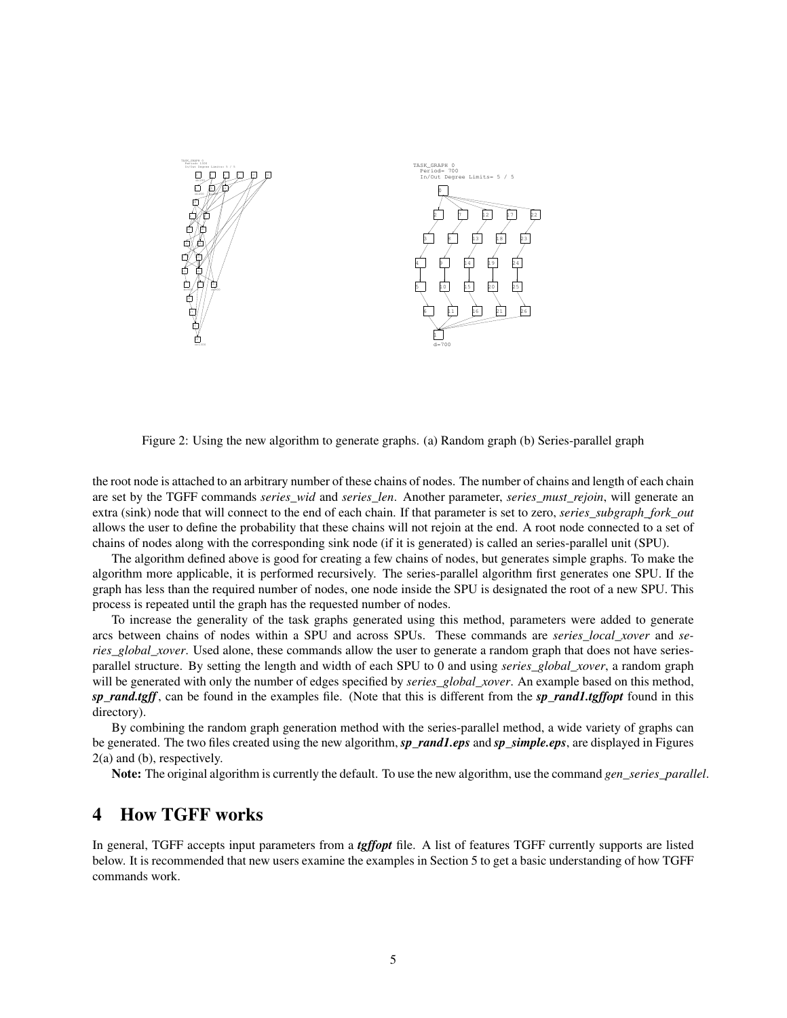

Figure 2: Using the new algorithm to generate graphs. (a) Random graph (b) Series-parallel graph

the root node is attached to an arbitrary number of these chains of nodes. The number of chains and length of each chain are set by the TGFF commands *series\_wid* and *series\_len*. Another parameter, *series\_must\_rejoin*, will generate an extra (sink) node that will connect to the end of each chain. If that parameter is set to zero, *series* subgraph fork out allows the user to define the probability that these chains will not rejoin at the end. A root node connected to a set of chains of nodes along with the corresponding sink node (if it is generated) is called an series-parallel unit (SPU).

The algorithm defined above is good for creating a few chains of nodes, but generates simple graphs. To make the algorithm more applicable, it is performed recursively. The series-parallel algorithm first generates one SPU. If the graph has less than the required number of nodes, one node inside the SPU is designated the root of a new SPU. This process is repeated until the graph has the requested number of nodes.

To increase the generality of the task graphs generated using this method, parameters were added to generate arcs between chains of nodes within a SPU and across SPUs. These commands are *series\_local\_xover* and *series\_global\_xover*. Used alone, these commands allow the user to generate a random graph that does not have seriesparallel structure. By setting the length and width of each SPU to 0 and using *series\_global\_xover*, a random graph will be generated with only the number of edges specified by *series* global xover. An example based on this method, *sp\_rand.tgff*, can be found in the examples file. (Note that this is different from the *sp\_rand1.tgffopt* found in this directory).

By combining the random graph generation method with the series-parallel method, a wide variety of graphs can be generated. The two files created using the new algorithm, *sp\_rand1.eps* and *sp\_simple.eps*, are displayed in Figures 2(a) and (b), respectively.

Note: The original algorithm is currently the default. To use the new algorithm, use the command *gen* series parallel.

## 4 How TGFF works

In general, TGFF accepts input parameters from a *tgffopt* file. A list of features TGFF currently supports are listed below. It is recommended that new users examine the examples in Section 5 to get a basic understanding of how TGFF commands work.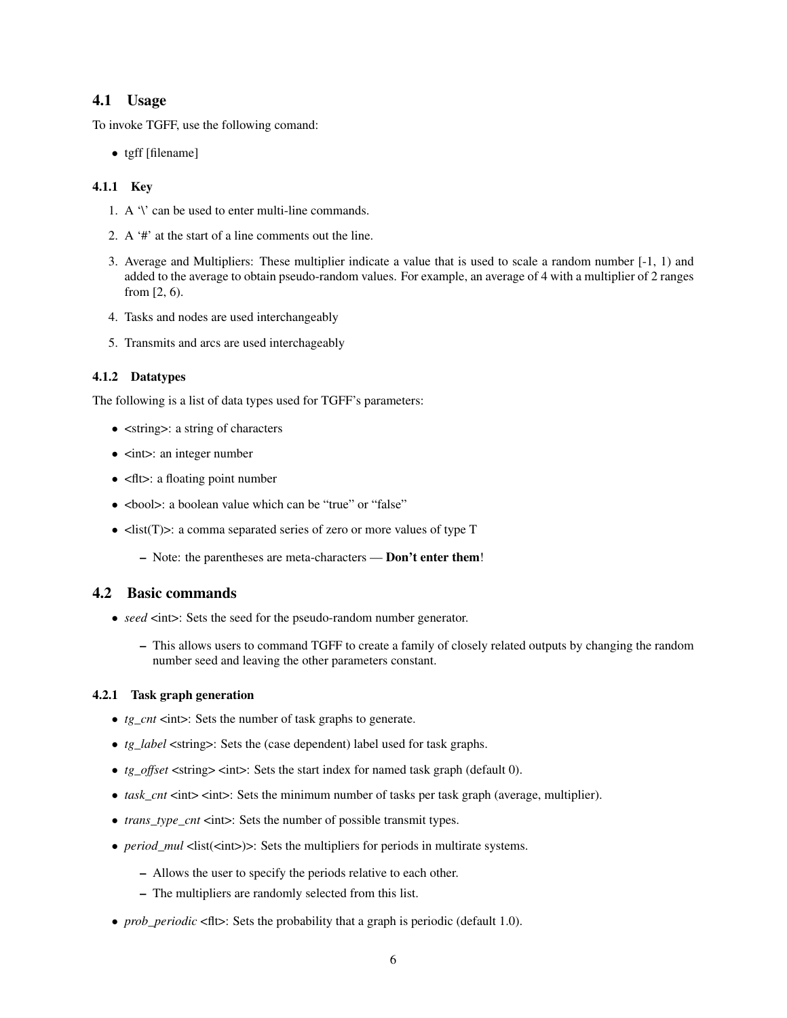#### 4.1 Usage

To invoke TGFF, use the following comand:

• tgff [filename]

#### 4.1.1 Key

- 1. A '\' can be used to enter multi-line commands.
- 2. A '#' at the start of a line comments out the line.
- 3. Average and Multipliers: These multiplier indicate a value that is used to scale a random number [-1, 1) and added to the average to obtain pseudo-random values. For example, an average of 4 with a multiplier of 2 ranges from [2, 6).
- 4. Tasks and nodes are used interchangeably
- 5. Transmits and arcs are used interchageably

#### 4.1.2 Datatypes

The following is a list of data types used for TGFF's parameters:

- $\leq$  string  $\geq$ : a string of characters
- $\bullet$   $\leq$  int $\geq$ : an integer number
- <flt>: a floating point number
- <br/>bool>: a boolean value which can be "true" or "false"
- <list(T)>: a comma separated series of zero or more values of type T
	- Note: the parentheses are meta-characters Don't enter them!

#### 4.2 Basic commands

- *seed* <int>: Sets the seed for the pseudo-random number generator.
	- This allows users to command TGFF to create a family of closely related outputs by changing the random number seed and leaving the other parameters constant.

#### 4.2.1 Task graph generation

- *tg\_cnt* <int>: Sets the number of task graphs to generate.
- *tg\_label* <string>: Sets the (case dependent) label used for task graphs.
- *tg\_offset* <string> <int>: Sets the start index for named task graph (default 0).
- *task\_cnt* <int> <int>: Sets the minimum number of tasks per task graph (average, multiplier).
- *trans\_type\_cnt* <int>: Sets the number of possible transmit types.
- *period\_mul* <list(<int>)>: Sets the multipliers for periods in multirate systems.
	- Allows the user to specify the periods relative to each other.
	- The multipliers are randomly selected from this list.
- *prob periodic* <fit>: Sets the probability that a graph is periodic (default 1.0).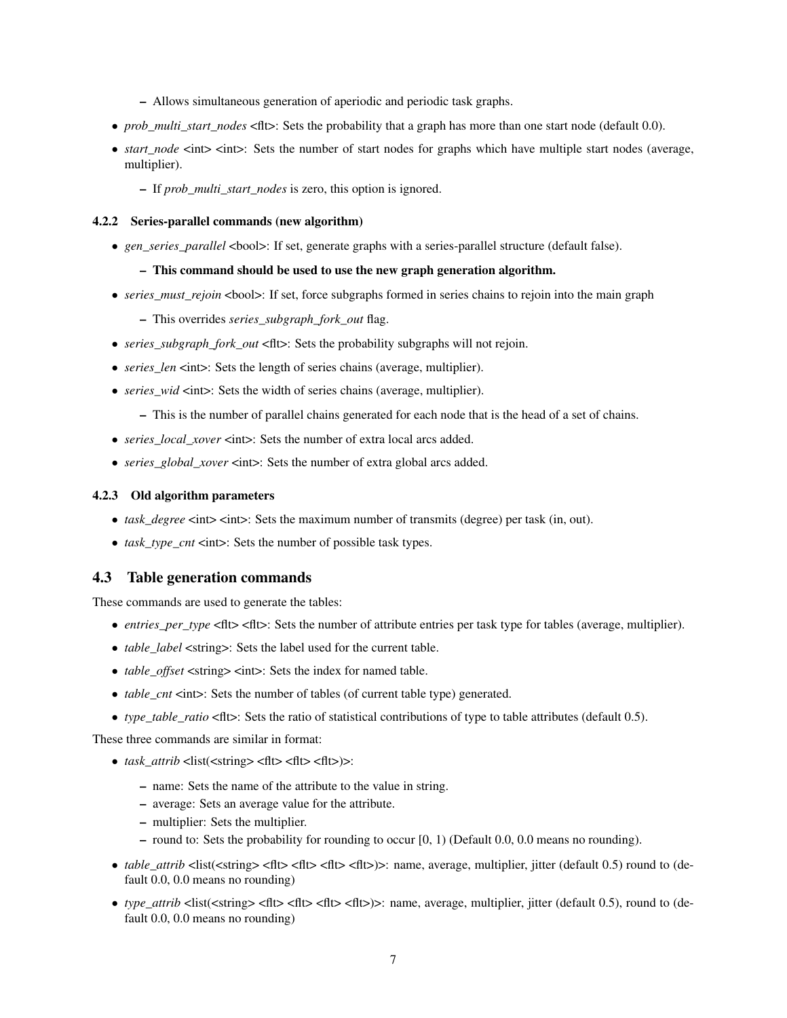- Allows simultaneous generation of aperiodic and periodic task graphs.
- *prob\_multi\_start\_nodes* <flt>: Sets the probability that a graph has more than one start node (default 0.0).
- *start\_node* <int> <int>: Sets the number of start nodes for graphs which have multiple start nodes (average, multiplier).
	- If *prob\_multi\_start\_nodes* is zero, this option is ignored.

#### 4.2.2 Series-parallel commands (new algorithm)

• *gen\_series\_parallel* <br/>  $\leq$  > If set, generate graphs with a series-parallel structure (default false).

#### – This command should be used to use the new graph generation algorithm.

- *series* must rejoin <br/>bool>: If set, force subgraphs formed in series chains to rejoin into the main graph
	- This overrides *series\_subgraph\_fork\_out* flag.
- *series subgraph fork out* <flt>: Sets the probability subgraphs will not rejoin.
- *series\_len* <int>: Sets the length of series chains (average, multiplier).
- *series* wid  $\leq$  int  $\geq$ : Sets the width of series chains (average, multiplier).
	- This is the number of parallel chains generated for each node that is the head of a set of chains.
- *series\_local\_xover* <int>: Sets the number of extra local arcs added.
- *series global xover* <int>: Sets the number of extra global arcs added.

#### 4.2.3 Old algorithm parameters

- *task\_degree* <int> <int>: Sets the maximum number of transmits (degree) per task (in, out).
- *task type*  $cnt$   $\leq$   $int$   $\geq$  *Sets the number of possible task types.*

#### 4.3 Table generation commands

These commands are used to generate the tables:

- *entries per type* <flt> <flt>: Sets the number of attribute entries per task type for tables (average, multiplier).
- *table label* <string>: Sets the label used for the current table.
- *table\_offset* <string> <int>: Sets the index for named table.
- *table\_cnt* <int>: Sets the number of tables (of current table type) generated.
- *type\_table\_ratio* <flt>: Sets the ratio of statistical contributions of type to table attributes (default 0.5).

These three commands are similar in format:

- *task\_attrib* <list(<string> <flt> <flt> <flt>)>:
	- name: Sets the name of the attribute to the value in string.
	- average: Sets an average value for the attribute.
	- multiplier: Sets the multiplier.
	- round to: Sets the probability for rounding to occur [0, 1) (Default 0.0, 0.0 means no rounding).
- *table attrib* <list(<string>  $\langle$ flt>  $\langle$ flt>  $\langle$ flt>  $\rangle$  = : name, average, multiplier, jitter (default 0.5) round to (default 0.0, 0.0 means no rounding)
- *type* attrib  $\langle$ list $(\langle$ string $\rangle$   $\langle$ flt $\rangle$   $\langle$ flt $\rangle$  $\langle$ flt $\rangle$  $\langle$ flt $\rangle$ ): name, average, multiplier, jitter (default 0.5), round to (default 0.0, 0.0 means no rounding)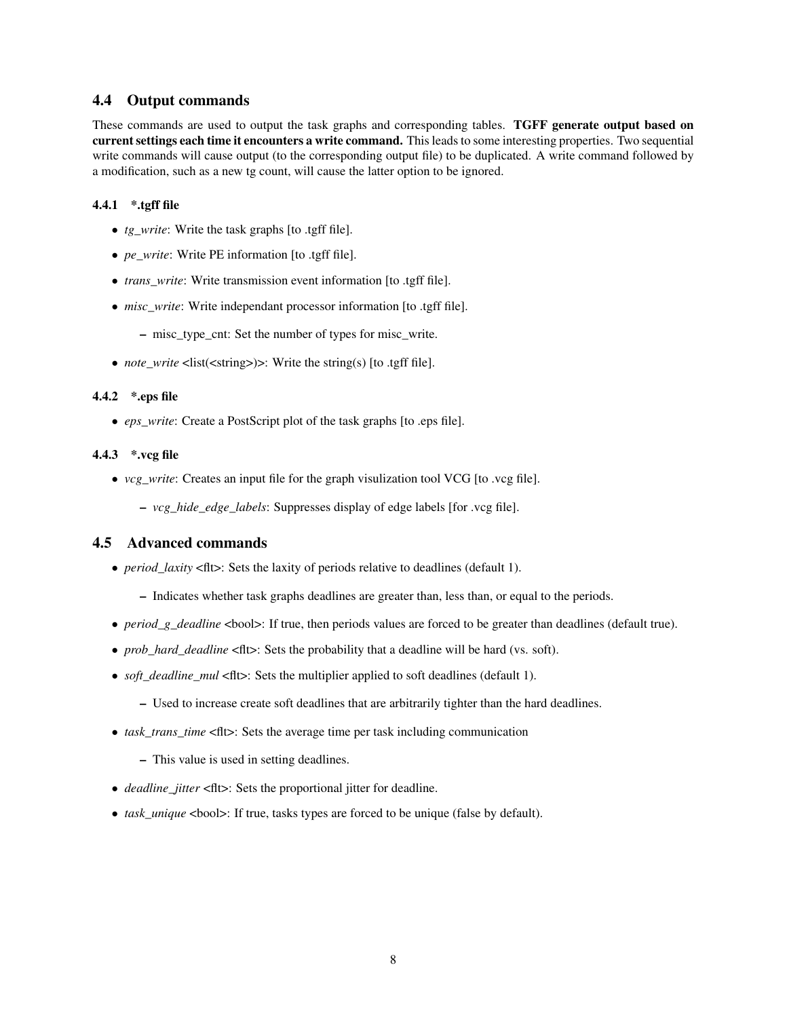#### 4.4 Output commands

These commands are used to output the task graphs and corresponding tables. TGFF generate output based on current settings each time it encounters a write command. This leads to some interesting properties. Two sequential write commands will cause output (to the corresponding output file) to be duplicated. A write command followed by a modification, such as a new tg count, will cause the latter option to be ignored.

#### 4.4.1 \*.tgff file

- *tg\_write*: Write the task graphs [to .tgff file].
- *pe\_write*: Write PE information [to .tgff file].
- *trans\_write*: Write transmission event information [to .tgff file].
- *misc\_write*: Write independant processor information [to .tgff file].
	- misc\_type\_cnt: Set the number of types for misc\_write.
- *note* write <list(<string>)>: Write the string(s) [to .tgff file].

#### 4.4.2 \*.eps file

• *eps\_write*: Create a PostScript plot of the task graphs [to .eps file].

#### 4.4.3 \*.vcg file

- *vcg\_write*: Creates an input file for the graph visulization tool VCG [to .vcg file].
	- *vcg\_hide\_edge\_labels*: Suppresses display of edge labels [for .vcg file].

#### 4.5 Advanced commands

- *period\_laxity* <flt>: Sets the laxity of periods relative to deadlines (default 1).
	- Indicates whether task graphs deadlines are greater than, less than, or equal to the periods.
- *period\_g\_deadline* <br/>>bool>: If true, then periods values are forced to be greater than deadlines (default true).
- *prob\_hard\_deadline* <fit>: Sets the probability that a deadline will be hard (vs. soft).
- *soft\_deadline\_mul* <fit>: Sets the multiplier applied to soft deadlines (default 1).
	- Used to increase create soft deadlines that are arbitrarily tighter than the hard deadlines.
- *task\_trans\_time* <flt>: Sets the average time per task including communication
	- This value is used in setting deadlines.
- *deadline\_jitter* <fit>: Sets the proportional jitter for deadline.
- *task\_unique* <bool>: If true, tasks types are forced to be unique (false by default).